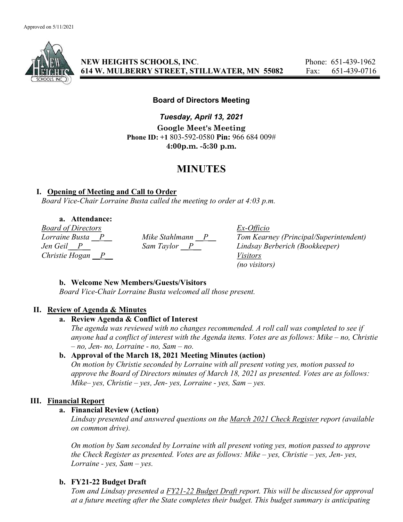

NEW HEIGHTS SCHOOLS, INC. Phone: 651-439-1962 614 W. MULBERRY STREET, STILLWATER, MN 55082 Fax: 651-439-0716

# Board of Directors Meeting

Tuesday, April 13, 2021 Google Meet's Meeting Phone ID: +1 803-592-0580 Pin: 966 684 009# 4:00p.m. -5:30 p.m.

# MINUTES

# I. Opening of Meeting and Call to Order

Board Vice-Chair Lorraine Busta called the meeting to order at 4:03 p.m.

a. Attendance:

Board of Directors Ex-Officio Christie Hogan  $\overline{P}$  Visitors

Lorraine Busta  $\frac{P}{P}$  Mike Stahlmann  $\frac{P}{P}$  Tom Kearney (Principal/Superintendent)<br>Jen Geil  $\frac{P}{P}$  Sam Taylor  $\frac{P}{P}$  Lindsay Berberich (Bookkeeper) Lindsay Berberich (Bookkeeper) (no visitors)

# b. Welcome New Members/Guests/Visitors

Board Vice-Chair Lorraine Busta welcomed all those present.

# II. Review of Agenda & Minutes

# a. Review Agenda & Conflict of Interest

The agenda was reviewed with no changes recommended. A roll call was completed to see if anyone had a conflict of interest with the Agenda items. Votes are as follows: Mike – no, Christie – no, Jen- no, Lorraine - no, Sam – no.

# b. Approval of the March 18, 2021 Meeting Minutes (action)

On motion by Christie seconded by Lorraine with all present voting yes, motion passed to approve the Board of Directors minutes of March 18, 2021 as presented. Votes are as follows: Mike– yes, Christie – yes, Jen- yes, Lorraine - yes, Sam – yes.

# III. Financial Report

# a. Financial Review (Action)

Lindsay presented and answered questions on the March 2021 Check Register report (available on common drive).

On motion by Sam seconded by Lorraine with all present voting yes, motion passed to approve the Check Register as presented. Votes are as follows: Mike – yes, Christie – yes, Jen- yes, Lorraine - yes, Sam – yes.

# b. FY21-22 Budget Draft

Tom and Lindsay presented a FY21-22 Budget Draft report. This will be discussed for approval at a future meeting after the State completes their budget. This budget summary is anticipating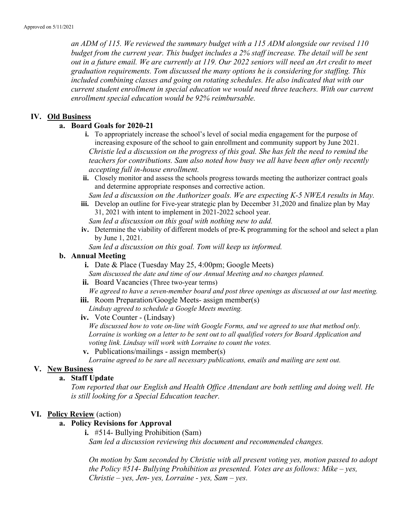an ADM of 115. We reviewed the summary budget with a 115 ADM alongside our revised 110 budget from the current year. This budget includes a 2% staff increase. The detail will be sent out in a future email. We are currently at 119. Our 2022 seniors will need an Art credit to meet graduation requirements. Tom discussed the many options he is considering for staffing. This included combining classes and going on rotating schedules. He also indicated that with our current student enrollment in special education we would need three teachers. With our current enrollment special education would be 92% reimbursable.

#### IV. Old Business

### a. Board Goals for 2020-21

- i. To appropriately increase the school's level of social media engagement for the purpose of increasing exposure of the school to gain enrollment and community support by June 2021. Christie led a discussion on the progress of this goal. She has felt the need to remind the teachers for contributions. Sam also noted how busy we all have been after only recently accepting full in-house enrollment.
- ii. Closely monitor and assess the schools progress towards meeting the authorizer contract goals and determine appropriate responses and corrective action.

Sam led a discussion on the Authorizer goals. We are expecting K-5 NWEA results in May. iii. Develop an outline for Five-year strategic plan by December 31,2020 and finalize plan by May

31, 2021 with intent to implement in 2021-2022 school year. Sam led a discussion on this goal with nothing new to add.

iv. Determine the viability of different models of pre-K programming for the school and select a plan by June 1, 2021.

Sam led a discussion on this goal. Tom will keep us informed.

#### b. Annual Meeting

i. Date & Place (Tuesday May 25, 4:00pm; Google Meets)

Sam discussed the date and time of our Annual Meeting and no changes planned.

ii. Board Vacancies (Three two-year terms)

We agreed to have a seven-member board and post three openings as discussed at our last meeting. iii. Room Preparation/Google Meets- assign member(s)

- Lindsay agreed to schedule a Google Meets meeting.
- iv. Vote Counter (Lindsay)

We discussed how to vote on-line with Google Forms, and we agreed to use that method only. Lorraine is working on a letter to be sent out to all qualified voters for Board Application and voting link. Lindsay will work with Lorraine to count the votes.

v. Publications/mailings - assign member(s)

Lorraine agreed to be sure all necessary publications, emails and mailing are sent out.

#### V. New Business

#### a. Staff Update

Tom reported that our English and Health Office Attendant are both settling and doing well. He is still looking for a Special Education teacher.

#### VI. Policy Review (action)

### a. Policy Revisions for Approval

i. #514- Bullying Prohibition (Sam) Sam led a discussion reviewing this document and recommended changes.

On motion by Sam seconded by Christie with all present voting yes, motion passed to adopt the Policy  $#514$ - Bullying Prohibition as presented. Votes are as follows: Mike – yes,  $Christie - yes, Jen- yes, Lorraine - yes, Sam- yes.$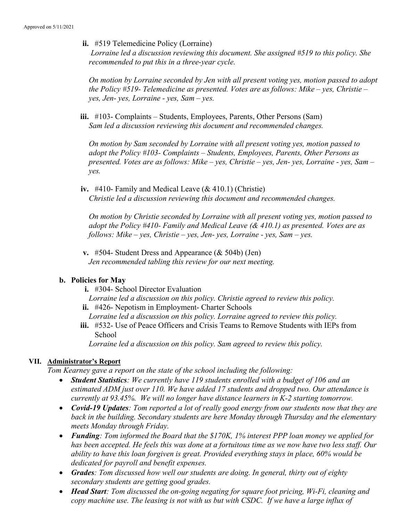ii. #519 Telemedicine Policy (Lorraine)

 Lorraine led a discussion reviewing this document. She assigned #519 to this policy. She recommended to put this in a three-year cycle.

On motion by Lorraine seconded by Jen with all present voting yes, motion passed to adopt the Policy  $#519$ - Telemedicine as presented. Votes are as follows: Mike – yes, Christie – yes, Jen- yes, Lorraine - yes, Sam – yes.

iii. #103- Complaints – Students, Employees, Parents, Other Persons (Sam) Sam led a discussion reviewing this document and recommended changes.

On motion by Sam seconded by Lorraine with all present voting yes, motion passed to adopt the Policy #103- Complaints – Students, Employees, Parents, Other Persons as presented. Votes are as follows: Mike – yes, Christie – yes, Jen- yes, Lorraine - yes, Sam – yes.

iv. #410- Family and Medical Leave  $(\& 410.1)$  (Christie) Christie led a discussion reviewing this document and recommended changes.

On motion by Christie seconded by Lorraine with all present voting yes, motion passed to adopt the Policy  $#410$ - Family and Medical Leave ( $\&$  410.1) as presented. Votes are as follows: Mike – yes, Christie – yes, Jen- yes, Lorraine - yes, Sam – yes.

v. #504- Student Dress and Appearance  $(\&$  504b) (Jen) Jen recommended tabling this review for our next meeting.

# b. Policies for May

i. #304- School Director Evaluation

Lorraine led a discussion on this policy. Christie agreed to review this policy.

ii. #426- Nepotism in Employment- Charter Schools

Lorraine led a discussion on this policy. Lorraine agreed to review this policy.

iii. #532- Use of Peace Officers and Crisis Teams to Remove Students with IEPs from School

Lorraine led a discussion on this policy. Sam agreed to review this policy.

# VII. Administrator's Report

Tom Kearney gave a report on the state of the school including the following:

- Student Statistics: We currently have 119 students enrolled with a budget of 106 and an estimated ADM just over 110. We have added 17 students and dropped two. Our attendance is currently at 93.45%. We will no longer have distance learners in K-2 starting tomorrow.
- Covid-19 Updates: Tom reported a lot of really good energy from our students now that they are back in the building. Secondary students are here Monday through Thursday and the elementary meets Monday through Friday.
- Funding: Tom informed the Board that the \$170K, 1% interest PPP loan money we applied for has been accepted. He feels this was done at a fortuitous time as we now have two less staff. Our ability to have this loan forgiven is great. Provided everything stays in place, 60% would be dedicated for payroll and benefit expenses.
- Grades: Tom discussed how well our students are doing. In general, thirty out of eighty secondary students are getting good grades.
- Head Start: Tom discussed the on-going negating for square foot pricing, Wi-Fi, cleaning and copy machine use. The leasing is not with us but with CSDC. If we have a large influx of